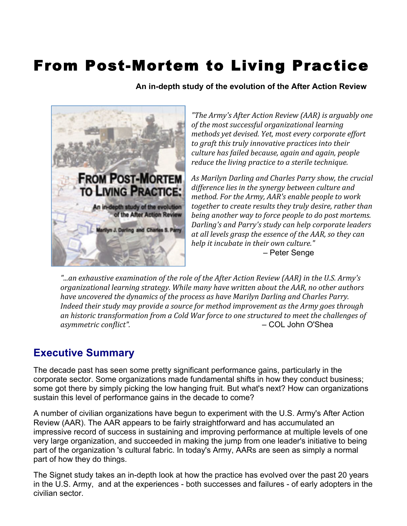## From Post-Mortem to Living Practice

 **An in-depth study of the evolution of the After Action Review**



*"The%Army's%After%Action%Review%(AAR)%is%arguably%one%* of the most successful organizational learning *methods yet devised. Yet, most every corporate effort* to graft this truly innovative practices into their *culture%has%failed%because,%again%and%again,%people% reduce the living practice to a sterile technique.* 

*As%Marilyn%Darling%and%Charles%Parry%show,%the%crucial% difference lies in the synergy between culture and method. For the Army, AAR's enable people to work together to create results they truly desire, rather than being another way to force people to do post mortems. Darling's and Parry's study can help corporate leaders at%all%levels%grasp%the%essence%of%the%AAR,%so%they%can% help it incubate in their own culture." –* Peter Senge

*"...an%exhaustive%examination%of%the%role%of%the%After%Action%Review%(AAR)%in%the%U.S.%Army's% organizational%learning%strategy.%While%many%have%written%about%the%AAR,%no%other%authors% have uncovered the dynamics of the process as have Marilyn Darling and Charles Parry. Indeed their study may provide a source for method improvement as the Army goes through* an historic transformation from a Cold War force to one structured to meet the challenges of asymmetric conflict".  $\qquad \qquad -$  COL John O'Shea

## **Executive Summary**

The decade past has seen some pretty significant performance gains, particularly in the corporate sector. Some organizations made fundamental shifts in how they conduct business; some got there by simply picking the low hanging fruit. But what's next? How can organizations sustain this level of performance gains in the decade to come?

A number of civilian organizations have begun to experiment with the U.S. Army's After Action Review (AAR). The AAR appears to be fairly straightforward and has accumulated an impressive record of success in sustaining and improving performance at multiple levels of one very large organization, and succeeded in making the jump from one leader's initiative to being part of the organization 's cultural fabric. In today's Army, AARs are seen as simply a normal part of how they do things.

The Signet study takes an in-depth look at how the practice has evolved over the past 20 years in the U.S. Army, and at the experiences - both successes and failures - of early adopters in the civilian sector.